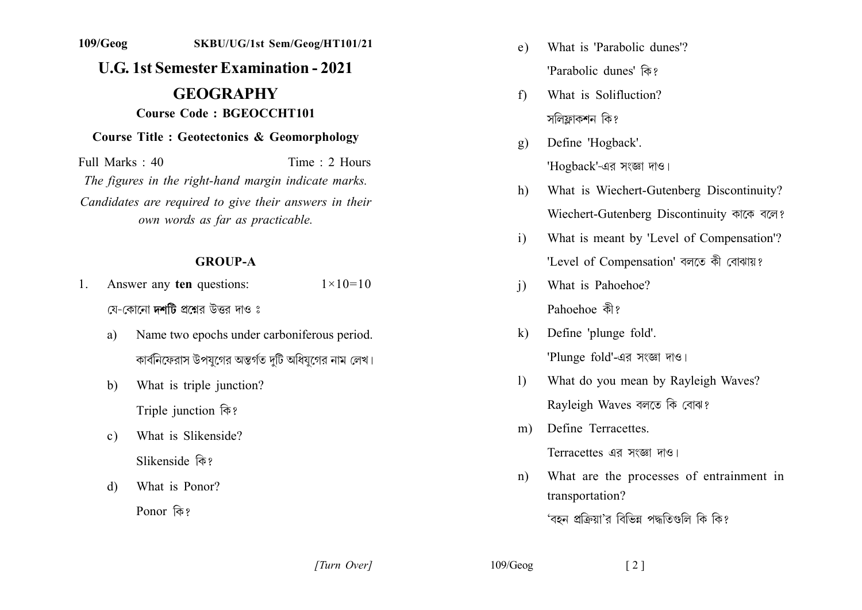# **109/Geog SKBU/UG/1st Sem/Geog/HT101/21 11.G.** 1st Semester Examination - 2021 **GEOGRAPHY 1g1101** Course Code: BGEOCCHT101 **1915** Course Title : Geotectonics & Geomorphology

Full Marks: 40 Time: 2 Hours The figures in the right-hand margin indicate marks. Candidates are required to give their answers in their *own words as far as practicable.* 

### **GROUP-A**

- 1. Answer any **ten** questions:  $1 \times 10=10$ 
	- যে-কোনো **দশটি** প্রশ্নের উত্তর দাও ঃ
	- a) Name two epochs under carboniferous period. কার্বনিফেরাস উপযুগের অন্তর্গত দুটি অধিযুগের নাম লেখ।
	- b) What is triple junction? Triple junction कि?
	- c) What is Slikenside? Slikenside कि?
	- d) What is Ponor? Ponor কি?
- e) What is 'Parabolic dunes'? 'Parabolic dunes' कि?
- f) What is Solifluction? সলিফ্লাকশন কি?
- g) Define 'Hogback'. 'Hogback'-এর সংজ্ঞা দাও।
- h) What is Wiechert-Gutenberg Discontinuity? Wiechert-Gutenberg Discontinuity কাকে বলে?
- i) What is meant by 'Level of Compensation'? 'Level of Compensation' বলতে কী বোঝায়?
- i) What is Pahoehoe? Pahoehoe केै?
- k) Define 'plunge fold'. 'Plunge fold'-এর সংজ্ঞা দাও।
- 1) What do you mean by Rayleigh Waves? Rayleigh Waves বলতে কি বোঝ?
- m) Define Terracettes. Terracettes এর সংজ্ঞা দাও।
- n) What are the processes of entrainment in transportation?

'বহন প্রক্রিয়া'র বিভিন্ন পদ্ধতিগুলি কি কি?

*[a] [2] [2] [2] [2]*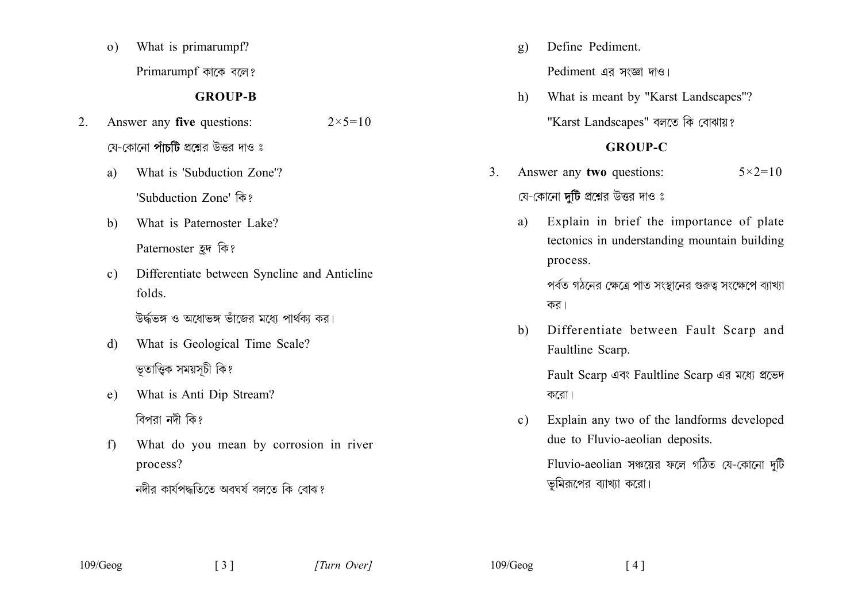What is primarumpf?  $\Omega$ Primarumpf কাকে বলে?

### **GROUP-B**

- Answer any **five** questions:  $2^{\circ}$  $2 \times 5 = 10$ যে-কোনো **পাঁচটি প্রশ্নে**র উত্তর দাও ঃ
	- What is 'Subduction Zone'? a) 'Subduction Zone' कि?
	- What is Paternoster Lake?  $b)$ 
		- Paternoster হব কি?
	- Differentiate between Syncline and Anticline  $c)$ folds.
		- উর্দ্ধভঙ্গ ও অধোভঙ্গ ভাঁজের মধ্যে পার্থকা কর।
	- What is Geological Time Scale?  $\mathbf{d}$ ভূতাত্তিক সময়সূচী কি?
	- What is Anti Dip Stream?  $e)$ বিপরা নদী কি?
	- What do you mean by corrosion in river  $f$ process?

নদীর কার্যপদ্ধতিতে অবঘর্ষ বলতে কি বোঝ?

 $\lceil 3 \rceil$ 

- Define Pediment.  $g)$ Pediment এর সংজ্ঞা দাও।
- What is meant by "Karst Landscapes"?  $h$ ) "Karst Landscapes" বলতে কি বোঝায়?

## **GROUP-C**

- Answer any two questions:  $5 \times 2 = 10$  $\mathcal{E}$ যে-কোনো **দটি** প্রশ্নের উত্তর দাও ঃ
	- Explain in brief the importance of plate a) tectonics in understanding mountain building process.

পর্বত গঠনের ক্ষেত্রে পাত সংস্থানের গুরুত্ব সংক্ষেপে ব্যাখ্যা কর।

 $b)$ Differentiate between Fault Scarp and Faultline Scarp.

> Fault Scarp এবং Faultline Scarp এর মধ্যে প্রভেদ করো।

Explain any two of the landforms developed  $c$ ) due to Fluvio-aeolian deposits.

> Fluvio-aeolian সঞ্চয়ের ফলে গঠিত যে-কোনো দুটি ভূমিরূপের ব্যাখ্যা করো।